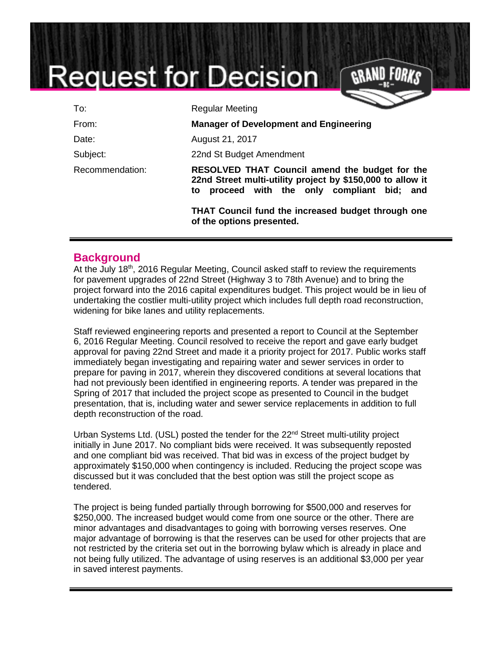# **Request for Decision**

| To:             | <b>Regular Meeting</b>                                                                                                                                                                                                      |
|-----------------|-----------------------------------------------------------------------------------------------------------------------------------------------------------------------------------------------------------------------------|
| From:           | <b>Manager of Development and Engineering</b>                                                                                                                                                                               |
| Date:           | August 21, 2017                                                                                                                                                                                                             |
| Subject:        | 22nd St Budget Amendment                                                                                                                                                                                                    |
| Recommendation: | RESOLVED THAT Council amend the budget for the<br>22nd Street multi-utility project by \$150,000 to allow it<br>proceed with the only compliant bid; and<br>to<br><b>THAT Council fund the increased budget through one</b> |
|                 | of the options presented.                                                                                                                                                                                                   |

#### **Background**

At the July 18<sup>th</sup>, 2016 Regular Meeting, Council asked staff to review the requirements for pavement upgrades of 22nd Street (Highway 3 to 78th Avenue) and to bring the project forward into the 2016 capital expenditures budget. This project would be in lieu of undertaking the costlier multi-utility project which includes full depth road reconstruction, widening for bike lanes and utility replacements.

Staff reviewed engineering reports and presented a report to Council at the September 6, 2016 Regular Meeting. Council resolved to receive the report and gave early budget approval for paving 22nd Street and made it a priority project for 2017. Public works staff immediately began investigating and repairing water and sewer services in order to prepare for paving in 2017, wherein they discovered conditions at several locations that had not previously been identified in engineering reports. A tender was prepared in the Spring of 2017 that included the project scope as presented to Council in the budget presentation, that is, including water and sewer service replacements in addition to full depth reconstruction of the road.

Urban Systems Ltd. (USL) posted the tender for the 22<sup>nd</sup> Street multi-utility project initially in June 2017. No compliant bids were received. It was subsequently reposted and one compliant bid was received. That bid was in excess of the project budget by approximately \$150,000 when contingency is included. Reducing the project scope was discussed but it was concluded that the best option was still the project scope as tendered.

The project is being funded partially through borrowing for \$500,000 and reserves for \$250,000. The increased budget would come from one source or the other. There are minor advantages and disadvantages to going with borrowing verses reserves. One major advantage of borrowing is that the reserves can be used for other projects that are not restricted by the criteria set out in the borrowing bylaw which is already in place and not being fully utilized. The advantage of using reserves is an additional \$3,000 per year in saved interest payments.